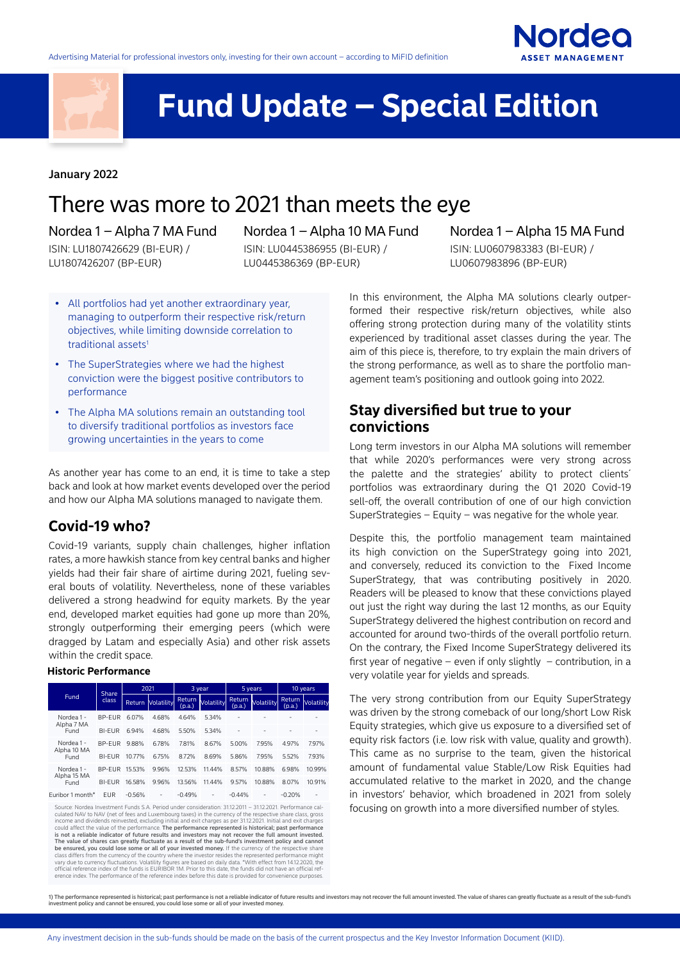



# **Fund Update – Special Edition**

#### January 2022

# There was more to 2021 than meets the eye

#### Nordea 1 – Alpha 7 MA Fund

ISIN: LU1807426629 (BI-EUR) / LU1807426207 (BP-EUR)

Nordea 1 – Alpha 10 MA Fund

ISIN: LU0445386955 (BI-EUR) / LU0445386369 (BP-EUR)

# Nordea 1 – Alpha 15 MA Fund

ISIN: LU0607983383 (BI-EUR) / LU0607983896 (BP-EUR)

- All portfolios had yet another extraordinary year, managing to outperform their respective risk/return objectives, while limiting downside correlation to traditional assets<sup>1</sup>
- The SuperStrategies where we had the highest conviction were the biggest positive contributors to performance
- The Alpha MA solutions remain an outstanding tool to diversify traditional portfolios as investors face growing uncertainties in the years to come

As another year has come to an end, it is time to take a step back and look at how market events developed over the period and how our Alpha MA solutions managed to navigate them.

## **Covid-19 who?**

Covid-19 variants, supply chain challenges, higher inflation rates, a more hawkish stance from key central banks and higher yields had their fair share of airtime during 2021, fueling several bouts of volatility. Nevertheless, none of these variables delivered a strong headwind for equity markets. By the year end, developed market equities had gone up more than 20%, strongly outperforming their emerging peers (which were dragged by Latam and especially Asia) and other risk assets within the credit space.

#### **Historic Performance**

| Fund                                                                                                       | Share<br>class | 2021     |                          | 3 year           |                   | 5 years          |                   | 10 years         |            |  |
|------------------------------------------------------------------------------------------------------------|----------------|----------|--------------------------|------------------|-------------------|------------------|-------------------|------------------|------------|--|
|                                                                                                            |                |          | <b>Return Volatility</b> | Return<br>(p.a.) | <b>Volatility</b> | Return<br>(p.a.) | <b>Volatility</b> | Return<br>(p.a.) | Volatility |  |
| Nordea 1 -<br>Alpha 7 MA<br>Fund                                                                           | <b>BP-FUR</b>  | 6.07%    | 4.68%                    | 4.64%            | 5.34%             |                  |                   |                  |            |  |
|                                                                                                            | <b>BI-FUR</b>  | 6.94%    | 4.68%                    | 5.50%            | 5.34%             |                  |                   |                  |            |  |
| Nordea 1 -<br>Alpha 10 MA<br>Fund                                                                          | <b>BP-FUR</b>  | 9.88%    | 6.78%                    | 7.81%            | 8.67%             | 5.00%            | 7.95%             | 4.97%            | 7.97%      |  |
|                                                                                                            | <b>BI-FUR</b>  | 10.77%   | 6.75%                    | 8.72%            | 8.69%             | 5.86%            | 7.95%             | 5.52%            | 7.93%      |  |
| Nordea 1 -<br>Alpha 15 MA<br>Fund                                                                          | BP-FUR         | 15.53%   | 9.96%                    | 12.53%           | 11.44%            | 8.57%            | 10.88%            | 6.98%            | 10.99%     |  |
|                                                                                                            | <b>BI-FUR</b>  | 16.58%   | 9.96%                    | 13.56%           | 11.44%            | 9.57%            | 10.88%            | 8.07%            | 10.91%     |  |
| Furibor 1 month*                                                                                           | <b>EUR</b>     | $-0.56%$ | ٠                        | $-0.49%$         |                   | $-0.44%$         |                   | $-0.20%$         |            |  |
| Source: Nordea Investment Funds S.A. Period under consideration: 31.12.2011 - 31.12.2021. Performance cal- |                |          |                          |                  |                   |                  |                   |                  |            |  |

Source: Nordea Investment Funds S.A. Period under consideration: 31.12.2011 – 31.12.2021. Performance cal-culated NAV to NAV (net of fees and Luxembourg taxes) in the currency of the respective share class, gross income and dividends reinvested, excluding initial and exit charges as per 31.12.2021. Initial and exit charges<br>could affect the value of the performance. **The performance represented is historical; past performance** is not a reliable indicator of future results and investors may not recover the full amount invested.<br>The value of shares can greatly fluctuate as a result of the sub-fund's investment policy and cannot<br>be ensured, you co erence index. The performance of the reference index before this date is provided for convenience purposes.

In this environment, the Alpha MA solutions clearly outperformed their respective risk/return objectives, while also offering strong protection during many of the volatility stints experienced by traditional asset classes during the year. The aim of this piece is, therefore, to try explain the main drivers of the strong performance, as well as to share the portfolio management team's positioning and outlook going into 2022.

## **Stay diversified but true to your convictions**

Long term investors in our Alpha MA solutions will remember that while 2020's performances were very strong across the palette and the strategies' ability to protect clients´ portfolios was extraordinary during the Q1 2020 Covid-19 sell-off, the overall contribution of one of our high conviction SuperStrategies – Equity – was negative for the whole year.

Despite this, the portfolio management team maintained its high conviction on the SuperStrategy going into 2021, and conversely, reduced its conviction to the Fixed Income SuperStrategy, that was contributing positively in 2020. Readers will be pleased to know that these convictions played out just the right way during the last 12 months, as our Equity SuperStrategy delivered the highest contribution on record and accounted for around two-thirds of the overall portfolio return. On the contrary, the Fixed Income SuperStrategy delivered its first year of negative – even if only slightly – contribution, in a very volatile year for yields and spreads.

The very strong contribution from our Equity SuperStrategy was driven by the strong comeback of our long/short Low Risk Equity strategies, which give us exposure to a diversified set of equity risk factors (i.e. low risk with value, quality and growth). This came as no surprise to the team, given the historical amount of fundamental value Stable/Low Risk Equities had accumulated relative to the market in 2020, and the change in investors' behavior, which broadened in 2021 from solely focusing on growth into a more diversified number of styles.

1) The performance represented is historical; past performance is not a reliable indicator of future results and investors may not recover the full amount invested. The value of shares can greatly fluctuate as a result of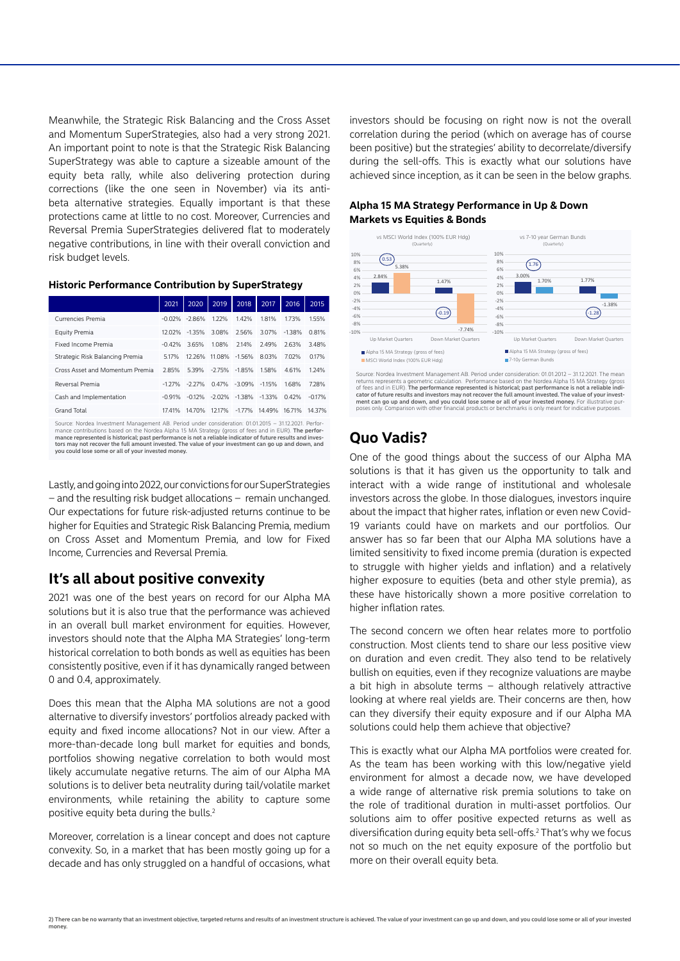Meanwhile, the Strategic Risk Balancing and the Cross Asset and Momentum SuperStrategies, also had a very strong 2021. An important point to note is that the Strategic Risk Balancing SuperStrategy was able to capture a sizeable amount of the equity beta rally, while also delivering protection during corrections (like the one seen in November) via its antibeta alternative strategies. Equally important is that these protections came at little to no cost. Moreover, Currencies and Reversal Premia SuperStrategies delivered flat to moderately negative contributions, in line with their overall conviction and risk budget levels.

**Historic Performance Contribution by SuperStrategy**

|                                 | 2021      | 2020              | 2019          | 2018         | 2017     | 2016     | 2015     |
|---------------------------------|-----------|-------------------|---------------|--------------|----------|----------|----------|
| Currencies Premia               |           | $-0.02\% -2.86\%$ | 122%          | 1.42%        | 1.81%    | 173%     | 1.55%    |
| Equity Premia                   | 12.02%    | $-1.35%$          | 3.08%         | 2.56%        | 3.07%    | $-1.38%$ | 0.81%    |
| Fixed Income Premia             | $-0.42%$  | 3.65%             | 1.08%         | 2.14%        | 2.49%    | 2.63%    | 3.48%    |
| Strategic Risk Balancing Premia | 5.17%     | 12.26%            | 11.08% -1.56% |              | 8.03%    | 7.02%    | 0.17%    |
| Cross Asset and Momentum Premia | 2.85%     | 539%              | $-2.75%$      | $-1.85%$     | 1.58%    | 4.61%    | 1.24%    |
| Reversal Premia                 | $-1.27\%$ | $-227%$           |               | 0.47% -3.09% | $-115%$  | 1.68%    | 7.28%    |
| Cash and Implementation         | $-0.91%$  | $-0.12%$          | $-2.02%$      | $-1.38\%$    | $-1.33%$ | 0.42%    | $-0.17%$ |
| <b>Grand Total</b>              | 17.41%    | 1470%             | 12.17%        | $-1.77%$     | 14.49%   | 16.71%   | 14.37%   |

Source: Nordea Investment Management AB. Period under consideration: 01.01.2015 – 31.12.2021. Performance contributions based on the Nordea Alpha 15 MA Strategy (gross of fees and in EUR). The performance represented is historical; past performance is not a reliable indicator of future results and inves-tors may not recover the full amount invested. The value of your investment can go up and down, and Finance represented is instanced, past performance<br>tors may not recover the full amount invested. The<br>you could lose some or all of your invested money

Lastly, and going into 2022, our convictions for our SuperStrategies – and the resulting risk budget allocations – remain unchanged. Our expectations for future risk-adjusted returns continue to be higher for Equities and Strategic Risk Balancing Premia, medium on Cross Asset and Momentum Premia, and low for Fixed Income, Currencies and Reversal Premia.

## **It's all about positive convexity**

2021 was one of the best years on record for our Alpha MA solutions but it is also true that the performance was achieved in an overall bull market environment for equities. However, investors should note that the Alpha MA Strategies' long-term historical correlation to both bonds as well as equities has been consistently positive, even if it has dynamically ranged between 0 and 0.4, approximately.

Does this mean that the Alpha MA solutions are not a good alternative to diversify investors' portfolios already packed with equity and fixed income allocations? Not in our view. After a more-than-decade long bull market for equities and bonds, portfolios showing negative correlation to both would most likely accumulate negative returns. The aim of our Alpha MA solutions is to deliver beta neutrality during tail/volatile market environments, while retaining the ability to capture some positive equity beta during the bulls.2

Moreover, correlation is a linear concept and does not capture convexity. So, in a market that has been mostly going up for a decade and has only struggled on a handful of occasions, what investors should be focusing on right now is not the overall correlation during the period (which on average has of course been positive) but the strategies' ability to decorrelate/diversify during the sell-offs. This is exactly what our solutions have achieved since inception, as it can be seen in the below graphs.

#### **Alpha 15 MA Strategy Performance in Up & Down Markets vs Equities & Bonds**



cator of future results and investors may not recover the full amount invested. The value of your investment can go up and down, and you could lose some or all of your invested money. For illustrative purposes only. Comparison with our comparison with our products or benchmarks is only meant for indicative purp.

## **Quo Vadis?**

One of the good things about the success of our Alpha MA solutions is that it has given us the opportunity to talk and interact with a wide range of institutional and wholesale investors across the globe. In those dialogues, investors inquire about the impact that higher rates, inflation or even new Covid-19 variants could have on markets and our portfolios. Our answer has so far been that our Alpha MA solutions have a limited sensitivity to fixed income premia (duration is expected to struggle with higher yields and inflation) and a relatively higher exposure to equities (beta and other style premia), as these have historically shown a more positive correlation to higher inflation rates.

The second concern we often hear relates more to portfolio construction. Most clients tend to share our less positive view on duration and even credit. They also tend to be relatively bullish on equities, even if they recognize valuations are maybe a bit high in absolute terms – although relatively attractive looking at where real yields are. Their concerns are then, how can they diversify their equity exposure and if our Alpha MA solutions could help them achieve that objective?

This is exactly what our Alpha MA portfolios were created for. As the team has been working with this low/negative yield environment for almost a decade now, we have developed a wide range of alternative risk premia solutions to take on the role of traditional duration in multi-asset portfolios. Our solutions aim to offer positive expected returns as well as diversification during equity beta sell-offs.2 That's why we focus not so much on the net equity exposure of the portfolio but more on their overall equity beta.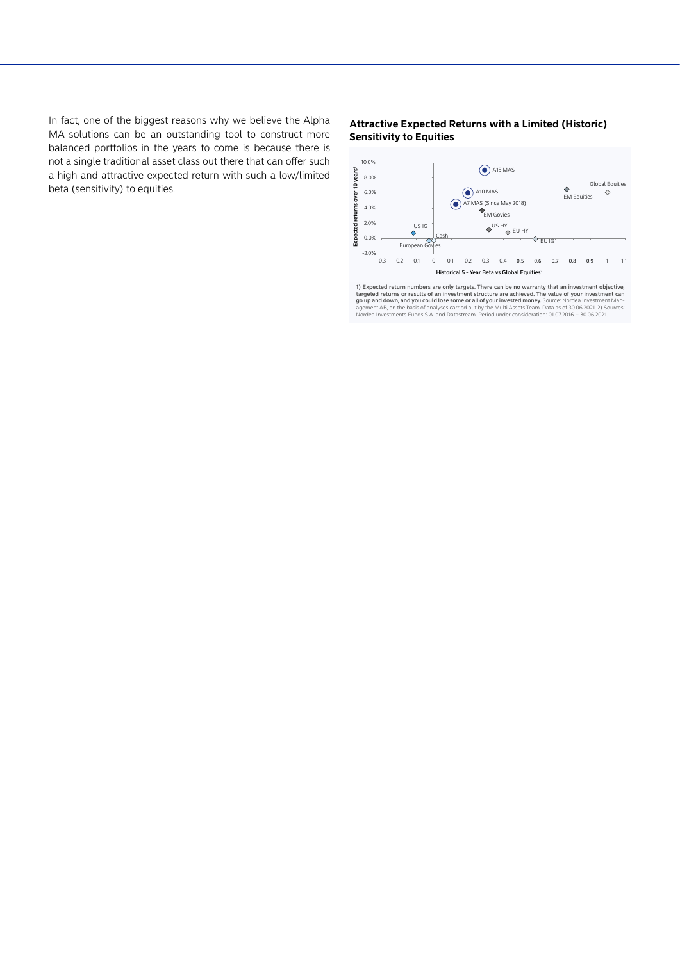In fact, one of the biggest reasons why we believe the Alpha MA solutions can be an outstanding tool to construct more balanced portfolios in the years to come is because there is not a single traditional asset class out there that can offer such a high and attractive expected return with such a low/limited beta (sensitivity) to equities.

#### **Attractive Expected Returns with a Limited (Historic) Sensitivity to Equities**



1) Expected return numbers are only targets. There can be no warranty that an investment objective, targeted returns or results of an investment structure are achieved. The value of your investment can go up and down, and